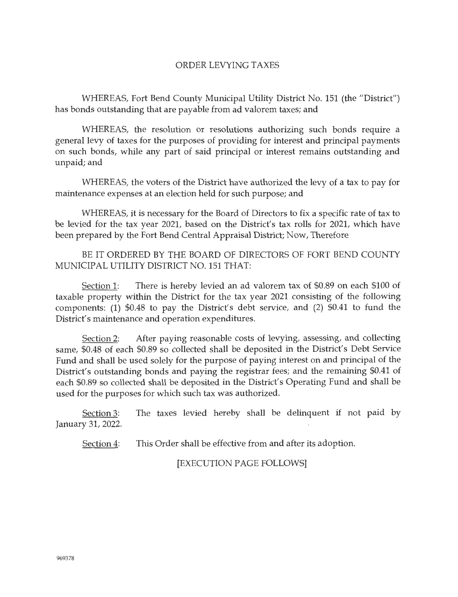## ORDER LEVYING TAXES

WHEREAS, Fort Bend County Municipal Utility District No. 151 (the "District") has bonds outstanding that are payable from ad valorem taxes; and

WHEREAS, the resolution or resolutions authorizing such bonds require a general levy of taxes for the purposes of providing for interest and principal payments on such bonds, while any part of said principal or interest remains outstanding and unpaid; and

WHEREAS, the voters of the District have authorized the levy of a tax to pay for maintenance expenses at an election held for such purpose; and

WHEREAS, it is necessary for the Board of Directors to fix a specific rate of tax to be levied for the tax year 2021, based on the District's tax rolls for 2021, which have been prepared by the Fort Bend Central Appraisal District; Now, Therefore

BE IT ORDERED BY THE BOARD OF DIRECTORS OF FORT BEND COUNTY MUNICIPAL UTILITY DISTRICT NO. 151 THAT:

Section 1: There is hereby levied an ad valorem tax of \$0.89 on each \$100 of taxable property within the District for the tax year 2021 consisting of the following components: (1) \$0.48 to pay the District's debt service, and (2) \$0.41 to fund the District's maintenance and operation expenditures.

Section 2: After paying reasonable costs of levying, assessing, and collecting same, \$0.48 of each \$0.89 so collected shall be deposited in the District's Debt Service Fund and shall be used solely for the purpose of paying interest on and principal of the District's outstanding bonds and paying the registrar fees; and the remaining \$0.41 of each \$0.89 so collected shall be deposited in the District's Operating Fund and shall be used for the purposes for which such tax was authorized.

Section 3: The taxes levied hereby shall be delinquent if not paid by January 31, 2022.

Section 4: This Order shall be effective from and after its adoption.

[EXECUTION PAGE FOLLOWS]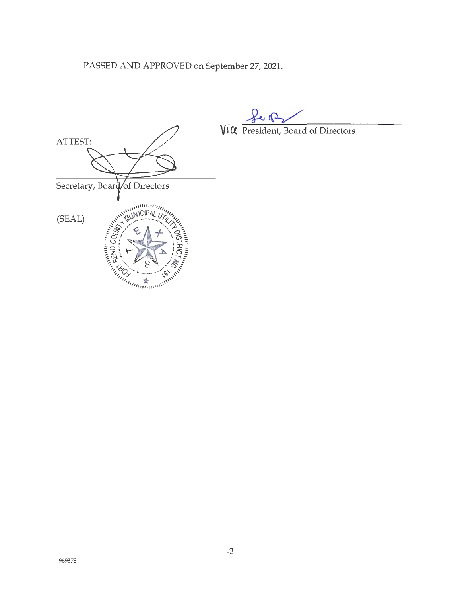PASSED AND APPROVED on September 27, 2021.



**V1CJ.** President, Board of Directors